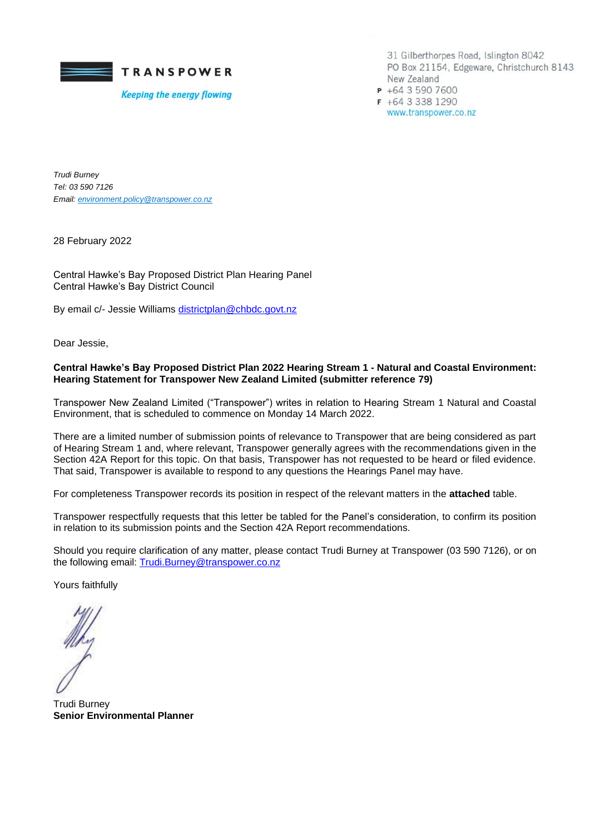

**Keeping the energy flowing** 

31 Gilberthorpes Road, Islington 8042 PO Box 21154, Edgeware, Christchurch 8143 New Zealand  $P$  +64 3 590 7600  $F + 6433381290$ www.transpower.co.nz

*Trudi Burney Tel: 03 590 7126 Email[: environment.policy@transpower.co.nz](mailto:environment.policy@transpower.co.nz)*

28 February 2022

Central Hawke's Bay Proposed District Plan Hearing Panel Central Hawke's Bay District Council

By email c/- Jessie Williams [districtplan@chbdc.govt.nz](mailto:districtplan@chbdc.govt.nz)

Dear Jessie,

## **Central Hawke's Bay Proposed District Plan 2022 Hearing Stream 1 - Natural and Coastal Environment: Hearing Statement for Transpower New Zealand Limited (submitter reference 79)**

Transpower New Zealand Limited ("Transpower") writes in relation to Hearing Stream 1 Natural and Coastal Environment, that is scheduled to commence on Monday 14 March 2022.

There are a limited number of submission points of relevance to Transpower that are being considered as part of Hearing Stream 1 and, where relevant, Transpower generally agrees with the recommendations given in the Section 42A Report for this topic. On that basis, Transpower has not requested to be heard or filed evidence. That said, Transpower is available to respond to any questions the Hearings Panel may have.

For completeness Transpower records its position in respect of the relevant matters in the **attached** table.

Transpower respectfully requests that this letter be tabled for the Panel's consideration, to confirm its position in relation to its submission points and the Section 42A Report recommendations.

Should you require clarification of any matter, please contact Trudi Burney at Transpower (03 590 7126), or on the following email: [Trudi.Burney@transpower.co.nz](mailto:Trudi.Burney@transpower.co.nz)

Yours faithfully

Trudi Burney **Senior Environmental Planner**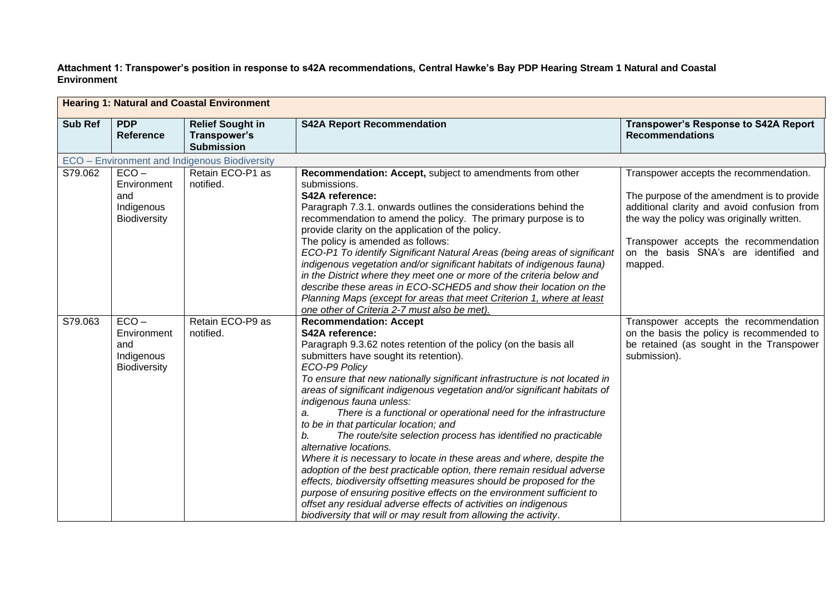**Attachment 1: Transpower's position in response to s42A recommendations, Central Hawke's Bay PDP Hearing Stream 1 Natural and Coastal Environment**

| <b>Hearing 1: Natural and Coastal Environment</b> |                                                                    |                                                              |                                                                                                                                                                                                                                                                                                                                                                                                                                                                                                                                                                                                                                                                                                                                                                                                                                                                                                                                                                                                                                         |                                                                                                                                                                                                                                                                                |  |
|---------------------------------------------------|--------------------------------------------------------------------|--------------------------------------------------------------|-----------------------------------------------------------------------------------------------------------------------------------------------------------------------------------------------------------------------------------------------------------------------------------------------------------------------------------------------------------------------------------------------------------------------------------------------------------------------------------------------------------------------------------------------------------------------------------------------------------------------------------------------------------------------------------------------------------------------------------------------------------------------------------------------------------------------------------------------------------------------------------------------------------------------------------------------------------------------------------------------------------------------------------------|--------------------------------------------------------------------------------------------------------------------------------------------------------------------------------------------------------------------------------------------------------------------------------|--|
| <b>Sub Ref</b>                                    | <b>PDP</b><br><b>Reference</b>                                     | <b>Relief Sought in</b><br>Transpower's<br><b>Submission</b> | <b>S42A Report Recommendation</b>                                                                                                                                                                                                                                                                                                                                                                                                                                                                                                                                                                                                                                                                                                                                                                                                                                                                                                                                                                                                       | <b>Transpower's Response to S42A Report</b><br><b>Recommendations</b>                                                                                                                                                                                                          |  |
|                                                   |                                                                    | ECO - Environment and Indigenous Biodiversity                |                                                                                                                                                                                                                                                                                                                                                                                                                                                                                                                                                                                                                                                                                                                                                                                                                                                                                                                                                                                                                                         |                                                                                                                                                                                                                                                                                |  |
| S79.062                                           | $ECO -$<br>Environment<br>and<br>Indigenous<br><b>Biodiversity</b> | Retain ECO-P1 as<br>notified.                                | Recommendation: Accept, subject to amendments from other<br>submissions.<br>S42A reference:<br>Paragraph 7.3.1. onwards outlines the considerations behind the<br>recommendation to amend the policy. The primary purpose is to<br>provide clarity on the application of the policy.<br>The policy is amended as follows:<br>ECO-P1 To identify Significant Natural Areas (being areas of significant<br>indigenous vegetation and/or significant habitats of indigenous fauna)<br>in the District where they meet one or more of the criteria below and<br>describe these areas in ECO-SCHED5 and show their location on the<br>Planning Maps (except for areas that meet Criterion 1, where at least<br>one other of Criteria 2-7 must also be met).                                                                                                                                                                                                                                                                                  | Transpower accepts the recommendation.<br>The purpose of the amendment is to provide<br>additional clarity and avoid confusion from<br>the way the policy was originally written.<br>Transpower accepts the recommendation<br>on the basis SNA's are identified and<br>mapped. |  |
| S79.063                                           | $ECO -$<br>Environment<br>and<br>Indigenous<br>Biodiversity        | Retain ECO-P9 as<br>notified.                                | <b>Recommendation: Accept</b><br>S42A reference:<br>Paragraph 9.3.62 notes retention of the policy (on the basis all<br>submitters have sought its retention).<br>ECO-P9 Policy<br>To ensure that new nationally significant infrastructure is not located in<br>areas of significant indigenous vegetation and/or significant habitats of<br>indigenous fauna unless:<br>There is a functional or operational need for the infrastructure<br>a.<br>to be in that particular location; and<br>The route/site selection process has identified no practicable<br>b.<br>alternative locations.<br>Where it is necessary to locate in these areas and where, despite the<br>adoption of the best practicable option, there remain residual adverse<br>effects, biodiversity offsetting measures should be proposed for the<br>purpose of ensuring positive effects on the environment sufficient to<br>offset any residual adverse effects of activities on indigenous<br>biodiversity that will or may result from allowing the activity. | Transpower accepts the recommendation<br>on the basis the policy is recommended to<br>be retained (as sought in the Transpower<br>submission).                                                                                                                                 |  |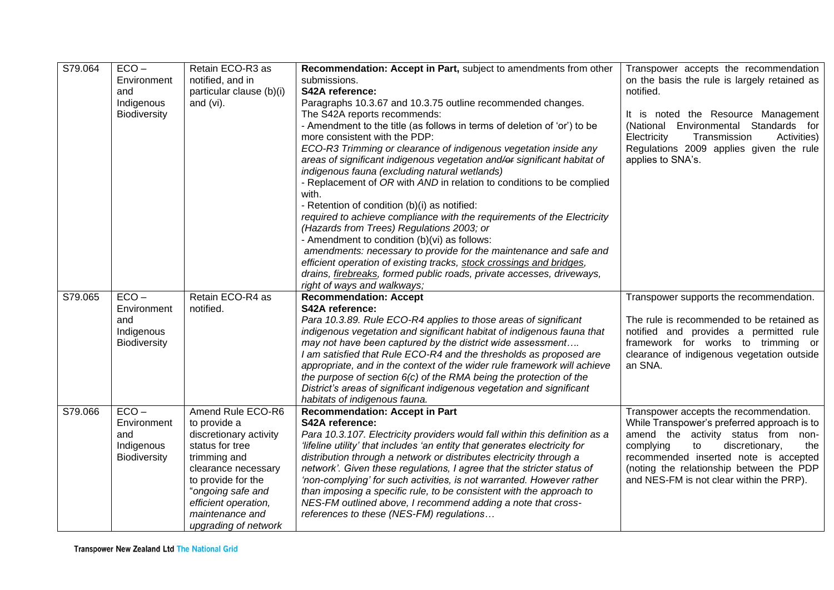| S79.064 | $ECO -$                    | Retain ECO-R3 as         |                                                                                             |                                                                                       |
|---------|----------------------------|--------------------------|---------------------------------------------------------------------------------------------|---------------------------------------------------------------------------------------|
|         | Environment                | notified, and in         | Recommendation: Accept in Part, subject to amendments from other<br>submissions.            | Transpower accepts the recommendation<br>on the basis the rule is largely retained as |
|         | and                        |                          | S42A reference:                                                                             | notified.                                                                             |
|         |                            | particular clause (b)(i) |                                                                                             |                                                                                       |
|         | Indigenous<br>Biodiversity | and (vi).                | Paragraphs 10.3.67 and 10.3.75 outline recommended changes.<br>The S42A reports recommends: | It is noted the Resource Management                                                   |
|         |                            |                          | - Amendment to the title (as follows in terms of deletion of 'or') to be                    | (National Environmental Standards for                                                 |
|         |                            |                          | more consistent with the PDP:                                                               | Electricity<br>Transmission<br>Activities)                                            |
|         |                            |                          | ECO-R3 Trimming or clearance of indigenous vegetation inside any                            | Regulations 2009 applies given the rule                                               |
|         |                            |                          | areas of significant indigenous vegetation and/or significant habitat of                    | applies to SNA's.                                                                     |
|         |                            |                          | indigenous fauna (excluding natural wetlands)                                               |                                                                                       |
|         |                            |                          | - Replacement of OR with AND in relation to conditions to be complied                       |                                                                                       |
|         |                            |                          | with.                                                                                       |                                                                                       |
|         |                            |                          | - Retention of condition (b)(i) as notified:                                                |                                                                                       |
|         |                            |                          | required to achieve compliance with the requirements of the Electricity                     |                                                                                       |
|         |                            |                          | (Hazards from Trees) Regulations 2003; or                                                   |                                                                                       |
|         |                            |                          | - Amendment to condition (b)(vi) as follows:                                                |                                                                                       |
|         |                            |                          | amendments: necessary to provide for the maintenance and safe and                           |                                                                                       |
|         |                            |                          | efficient operation of existing tracks, stock crossings and bridges,                        |                                                                                       |
|         |                            |                          | drains, firebreaks, formed public roads, private accesses, driveways,                       |                                                                                       |
|         |                            |                          | right of ways and walkways;                                                                 |                                                                                       |
| S79.065 | $ECO -$                    | Retain ECO-R4 as         | <b>Recommendation: Accept</b>                                                               | Transpower supports the recommendation.                                               |
|         | Environment                | notified.                | S42A reference:                                                                             |                                                                                       |
|         | and                        |                          | Para 10.3.89. Rule ECO-R4 applies to those areas of significant                             | The rule is recommended to be retained as                                             |
|         | Indigenous                 |                          | indigenous vegetation and significant habitat of indigenous fauna that                      | notified and provides a permitted rule                                                |
|         | Biodiversity               |                          | may not have been captured by the district wide assessment                                  | framework for works to trimming or                                                    |
|         |                            |                          | I am satisfied that Rule ECO-R4 and the thresholds as proposed are                          | clearance of indigenous vegetation outside                                            |
|         |                            |                          | appropriate, and in the context of the wider rule framework will achieve                    | an SNA.                                                                               |
|         |                            |                          | the purpose of section $6(c)$ of the RMA being the protection of the                        |                                                                                       |
|         |                            |                          | District's areas of significant indigenous vegetation and significant                       |                                                                                       |
| S79.066 | $ECO -$                    | Amend Rule ECO-R6        | habitats of indigenous fauna.<br><b>Recommendation: Accept in Part</b>                      | Transpower accepts the recommendation.                                                |
|         | Environment                | to provide a             | S42A reference:                                                                             | While Transpower's preferred approach is to                                           |
|         | and                        | discretionary activity   | Para 10.3.107. Electricity providers would fall within this definition as a                 | amend the activity status from non-                                                   |
|         | Indigenous                 | status for tree          | 'lifeline utility' that includes 'an entity that generates electricity for                  | complying<br>discretionary,<br>to<br>the                                              |
|         | Biodiversity               | trimming and             | distribution through a network or distributes electricity through a                         | recommended inserted note is accepted                                                 |
|         |                            | clearance necessary      | network'. Given these regulations, I agree that the stricter status of                      | (noting the relationship between the PDP                                              |
|         |                            | to provide for the       | 'non-complying' for such activities, is not warranted. However rather                       | and NES-FM is not clear within the PRP).                                              |
|         |                            | "ongoing safe and        | than imposing a specific rule, to be consistent with the approach to                        |                                                                                       |
|         |                            | efficient operation,     | NES-FM outlined above, I recommend adding a note that cross-                                |                                                                                       |
|         |                            | maintenance and          | references to these (NES-FM) regulations                                                    |                                                                                       |
|         |                            | upgrading of network     |                                                                                             |                                                                                       |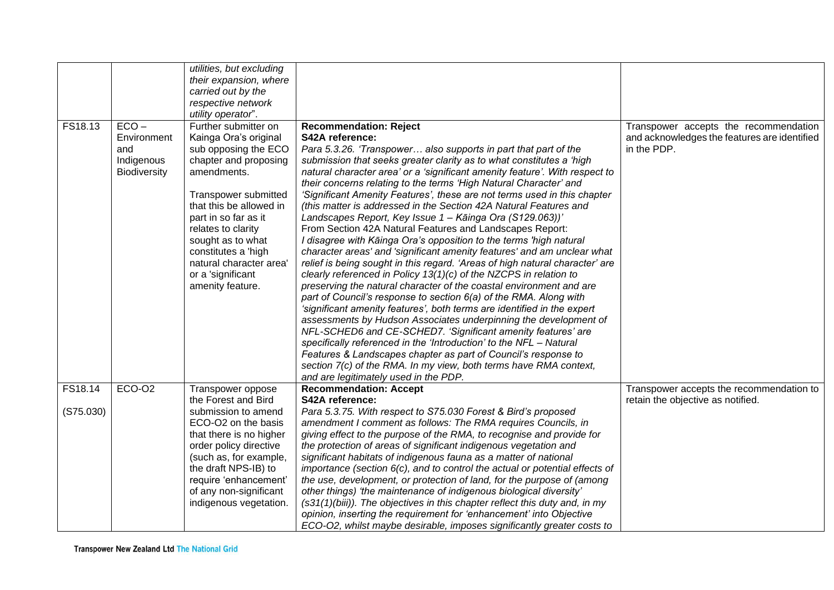| FS18.13   | $ECO -$                                          | utilities, but excluding<br>their expansion, where<br>carried out by the<br>respective network<br>utility operator".<br>Further submitter on                                                                                                                                                           | <b>Recommendation: Reject</b>                                                                                                                                                                                                                                                                                                                                                                                                                                                                                                                                                                                                                                                                                                                                                                                                                                                                                                                                                                                                                                                                                                                                                                                                                                                                                                                                                                                                                                                                                    | Transpower accepts the recommendation                                         |
|-----------|--------------------------------------------------|--------------------------------------------------------------------------------------------------------------------------------------------------------------------------------------------------------------------------------------------------------------------------------------------------------|------------------------------------------------------------------------------------------------------------------------------------------------------------------------------------------------------------------------------------------------------------------------------------------------------------------------------------------------------------------------------------------------------------------------------------------------------------------------------------------------------------------------------------------------------------------------------------------------------------------------------------------------------------------------------------------------------------------------------------------------------------------------------------------------------------------------------------------------------------------------------------------------------------------------------------------------------------------------------------------------------------------------------------------------------------------------------------------------------------------------------------------------------------------------------------------------------------------------------------------------------------------------------------------------------------------------------------------------------------------------------------------------------------------------------------------------------------------------------------------------------------------|-------------------------------------------------------------------------------|
|           | Environment<br>and<br>Indigenous<br>Biodiversity | Kainga Ora's original<br>sub opposing the ECO<br>chapter and proposing<br>amendments.<br>Transpower submitted<br>that this be allowed in<br>part in so far as it<br>relates to clarity<br>sought as to what<br>constitutes a 'high<br>natural character area'<br>or a 'significant<br>amenity feature. | S42A reference:<br>Para 5.3.26. 'Transpower also supports in part that part of the<br>submission that seeks greater clarity as to what constitutes a 'high<br>natural character area' or a 'significant amenity feature'. With respect to<br>their concerns relating to the terms 'High Natural Character' and<br>'Significant Amenity Features', these are not terms used in this chapter<br>(this matter is addressed in the Section 42A Natural Features and<br>Landscapes Report, Key Issue 1 - Kāinga Ora (S129.063))'<br>From Section 42A Natural Features and Landscapes Report:<br>I disagree with Kāinga Ora's opposition to the terms 'high natural<br>character areas' and 'significant amenity features' and am unclear what<br>relief is being sought in this regard. 'Areas of high natural character' are<br>clearly referenced in Policy $13(1)(c)$ of the NZCPS in relation to<br>preserving the natural character of the coastal environment and are<br>part of Council's response to section 6(a) of the RMA. Along with<br>'significant amenity features', both terms are identified in the expert<br>assessments by Hudson Associates underpinning the development of<br>NFL-SCHED6 and CE-SCHED7. 'Significant amenity features' are<br>specifically referenced in the 'Introduction' to the NFL - Natural<br>Features & Landscapes chapter as part of Council's response to<br>section 7(c) of the RMA. In my view, both terms have RMA context,<br>and are legitimately used in the PDP. | and acknowledges the features are identified<br>in the PDP.                   |
| FS18.14   | <b>ECO-O2</b>                                    | Transpower oppose<br>the Forest and Bird                                                                                                                                                                                                                                                               | <b>Recommendation: Accept</b><br>S42A reference:                                                                                                                                                                                                                                                                                                                                                                                                                                                                                                                                                                                                                                                                                                                                                                                                                                                                                                                                                                                                                                                                                                                                                                                                                                                                                                                                                                                                                                                                 | Transpower accepts the recommendation to<br>retain the objective as notified. |
| (S75.030) |                                                  | submission to amend<br>ECO-O2 on the basis<br>that there is no higher<br>order policy directive<br>(such as, for example,<br>the draft NPS-IB) to<br>require 'enhancement'<br>of any non-significant<br>indigenous vegetation.                                                                         | Para 5.3.75. With respect to S75.030 Forest & Bird's proposed<br>amendment I comment as follows: The RMA requires Councils, in<br>giving effect to the purpose of the RMA, to recognise and provide for<br>the protection of areas of significant indigenous vegetation and<br>significant habitats of indigenous fauna as a matter of national<br>importance (section 6(c), and to control the actual or potential effects of<br>the use, development, or protection of land, for the purpose of (among<br>other things) 'the maintenance of indigenous biological diversity'<br>(s31(1)(biii)). The objectives in this chapter reflect this duty and, in my<br>opinion, inserting the requirement for 'enhancement' into Objective<br>ECO-O2, whilst maybe desirable, imposes significantly greater costs to                                                                                                                                                                                                                                                                                                                                                                                                                                                                                                                                                                                                                                                                                                   |                                                                               |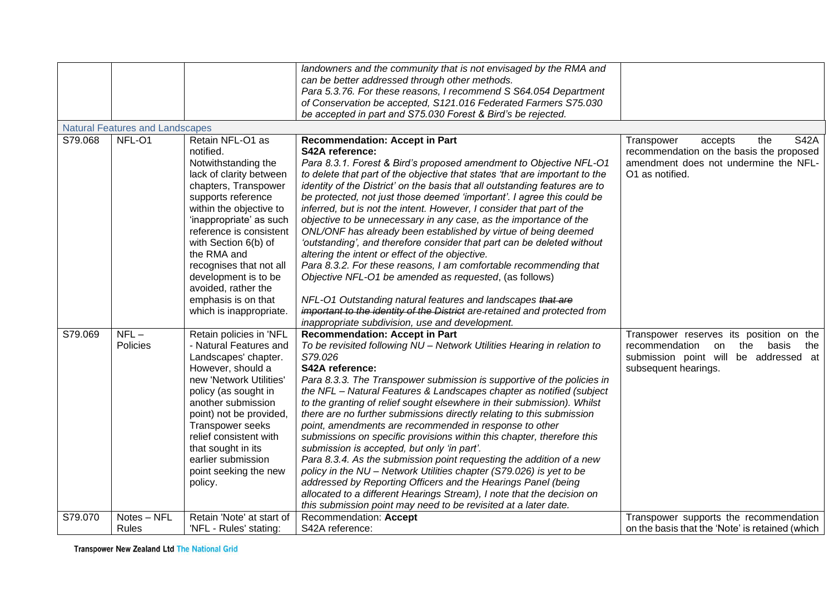|         |                                        |                           | landowners and the community that is not envisaged by the RMA and           |                                                 |
|---------|----------------------------------------|---------------------------|-----------------------------------------------------------------------------|-------------------------------------------------|
|         |                                        |                           | can be better addressed through other methods.                              |                                                 |
|         |                                        |                           | Para 5.3.76. For these reasons, I recommend S S64.054 Department            |                                                 |
|         |                                        |                           | of Conservation be accepted, S121.016 Federated Farmers S75.030             |                                                 |
|         |                                        |                           | be accepted in part and S75.030 Forest & Bird's be rejected.                |                                                 |
|         | <b>Natural Features and Landscapes</b> |                           |                                                                             |                                                 |
| S79.068 | NFL-O1                                 | Retain NFL-O1 as          | <b>Recommendation: Accept in Part</b>                                       | <b>S42A</b><br>Transpower<br>the<br>accepts     |
|         |                                        | notified.                 | S42A reference:                                                             | recommendation on the basis the proposed        |
|         |                                        | Notwithstanding the       | Para 8.3.1. Forest & Bird's proposed amendment to Objective NFL-01          | amendment does not undermine the NFL-           |
|         |                                        | lack of clarity between   | to delete that part of the objective that states 'that are important to the | O1 as notified.                                 |
|         |                                        | chapters, Transpower      | identity of the District' on the basis that all outstanding features are to |                                                 |
|         |                                        | supports reference        | be protected, not just those deemed 'important'. I agree this could be      |                                                 |
|         |                                        | within the objective to   | inferred, but is not the intent. However, I consider that part of the       |                                                 |
|         |                                        | 'inappropriate' as such   | objective to be unnecessary in any case, as the importance of the           |                                                 |
|         |                                        | reference is consistent   | ONL/ONF has already been established by virtue of being deemed              |                                                 |
|         |                                        | with Section 6(b) of      | 'outstanding', and therefore consider that part can be deleted without      |                                                 |
|         |                                        | the RMA and               | altering the intent or effect of the objective.                             |                                                 |
|         |                                        | recognises that not all   | Para 8.3.2. For these reasons, I am comfortable recommending that           |                                                 |
|         |                                        | development is to be      | Objective NFL-O1 be amended as requested, (as follows)                      |                                                 |
|         |                                        | avoided, rather the       |                                                                             |                                                 |
|         |                                        | emphasis is on that       | NFL-01 Outstanding natural features and landscapes that are                 |                                                 |
|         |                                        | which is inappropriate.   | important to the identity of the District are retained and protected from   |                                                 |
|         |                                        |                           | inappropriate subdivision, use and development.                             |                                                 |
| S79.069 | $NFL-$                                 | Retain policies in 'NFL   | <b>Recommendation: Accept in Part</b>                                       | Transpower reserves its position on the         |
|         | Policies                               | - Natural Features and    | To be revisited following NU - Network Utilities Hearing in relation to     | recommendation<br>on<br>the<br>basis<br>the     |
|         |                                        | Landscapes' chapter.      | S79.026                                                                     | submission point will be addressed at           |
|         |                                        | However, should a         | S42A reference:                                                             | subsequent hearings.                            |
|         |                                        | new 'Network Utilities'   | Para 8.3.3. The Transpower submission is supportive of the policies in      |                                                 |
|         |                                        | policy (as sought in      | the NFL - Natural Features & Landscapes chapter as notified (subject        |                                                 |
|         |                                        | another submission        | to the granting of relief sought elsewhere in their submission). Whilst     |                                                 |
|         |                                        | point) not be provided,   | there are no further submissions directly relating to this submission       |                                                 |
|         |                                        | <b>Transpower seeks</b>   | point, amendments are recommended in response to other                      |                                                 |
|         |                                        | relief consistent with    | submissions on specific provisions within this chapter, therefore this      |                                                 |
|         |                                        | that sought in its        | submission is accepted, but only 'in part'.                                 |                                                 |
|         |                                        | earlier submission        | Para 8.3.4. As the submission point requesting the addition of a new        |                                                 |
|         |                                        | point seeking the new     | policy in the NU - Network Utilities chapter (S79.026) is yet to be         |                                                 |
|         |                                        | policy.                   | addressed by Reporting Officers and the Hearings Panel (being               |                                                 |
|         |                                        |                           | allocated to a different Hearings Stream), I note that the decision on      |                                                 |
|         |                                        |                           | this submission point may need to be revisited at a later date.             |                                                 |
| S79.070 | Notes - NFL                            | Retain 'Note' at start of | Recommendation: Accept                                                      | Transpower supports the recommendation          |
|         | Rules                                  | 'NFL - Rules' stating:    | S42A reference:                                                             | on the basis that the 'Note' is retained (which |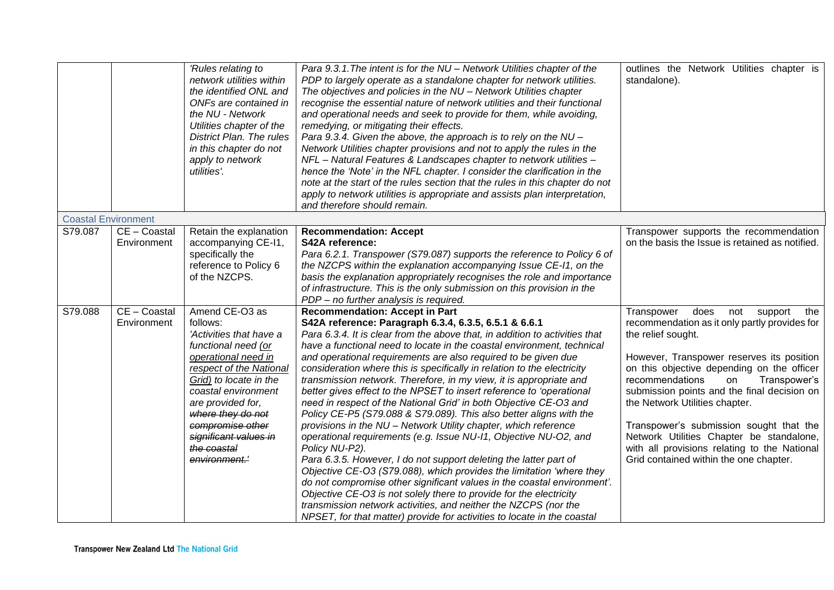|                            |                             | 'Rules relating to<br>network utilities within<br>the identified ONL and<br>ONFs are contained in<br>the NU - Network<br>Utilities chapter of the<br>District Plan. The rules<br>in this chapter do not<br>apply to network<br>utilities'.                                                             | Para 9.3.1. The intent is for the NU - Network Utilities chapter of the<br>PDP to largely operate as a standalone chapter for network utilities.<br>The objectives and policies in the NU - Network Utilities chapter<br>recognise the essential nature of network utilities and their functional<br>and operational needs and seek to provide for them, while avoiding,<br>remedying, or mitigating their effects.<br>Para 9.3.4. Given the above, the approach is to rely on the NU -<br>Network Utilities chapter provisions and not to apply the rules in the<br>NFL - Natural Features & Landscapes chapter to network utilities -<br>hence the 'Note' in the NFL chapter. I consider the clarification in the<br>note at the start of the rules section that the rules in this chapter do not<br>apply to network utilities is appropriate and assists plan interpretation,<br>and therefore should remain.                                                                                                                                                                                                                                                                                                                                                                                  | outlines the Network Utilities chapter is<br>standalone).                                                                                                                                                                                                                                                                                                                                                                                                                                                                |
|----------------------------|-----------------------------|--------------------------------------------------------------------------------------------------------------------------------------------------------------------------------------------------------------------------------------------------------------------------------------------------------|----------------------------------------------------------------------------------------------------------------------------------------------------------------------------------------------------------------------------------------------------------------------------------------------------------------------------------------------------------------------------------------------------------------------------------------------------------------------------------------------------------------------------------------------------------------------------------------------------------------------------------------------------------------------------------------------------------------------------------------------------------------------------------------------------------------------------------------------------------------------------------------------------------------------------------------------------------------------------------------------------------------------------------------------------------------------------------------------------------------------------------------------------------------------------------------------------------------------------------------------------------------------------------------------------|--------------------------------------------------------------------------------------------------------------------------------------------------------------------------------------------------------------------------------------------------------------------------------------------------------------------------------------------------------------------------------------------------------------------------------------------------------------------------------------------------------------------------|
| <b>Coastal Environment</b> |                             |                                                                                                                                                                                                                                                                                                        |                                                                                                                                                                                                                                                                                                                                                                                                                                                                                                                                                                                                                                                                                                                                                                                                                                                                                                                                                                                                                                                                                                                                                                                                                                                                                                    |                                                                                                                                                                                                                                                                                                                                                                                                                                                                                                                          |
| S79.087                    | CE - Coastal<br>Environment | Retain the explanation<br>accompanying CE-I1,<br>specifically the<br>reference to Policy 6<br>of the NZCPS.                                                                                                                                                                                            | <b>Recommendation: Accept</b><br>S42A reference:<br>Para 6.2.1. Transpower (S79.087) supports the reference to Policy 6 of<br>the NZCPS within the explanation accompanying Issue CE-11, on the<br>basis the explanation appropriately recognises the role and importance<br>of infrastructure. This is the only submission on this provision in the<br>PDP - no further analysis is required.                                                                                                                                                                                                                                                                                                                                                                                                                                                                                                                                                                                                                                                                                                                                                                                                                                                                                                     | Transpower supports the recommendation<br>on the basis the Issue is retained as notified.                                                                                                                                                                                                                                                                                                                                                                                                                                |
| S79.088                    | CE - Coastal<br>Environment | Amend CE-O3 as<br>follows:<br>'Activities that have a<br>functional need (or<br>operational need in<br>respect of the National<br>Grid) to locate in the<br>coastal environment<br>are provided for,<br>where they do not<br>compromise other<br>significant values in<br>the coastal<br>environment.' | <b>Recommendation: Accept in Part</b><br>S42A reference: Paragraph 6.3.4, 6.3.5, 6.5.1 & 6.6.1<br>Para 6.3.4. It is clear from the above that, in addition to activities that<br>have a functional need to locate in the coastal environment, technical<br>and operational requirements are also required to be given due<br>consideration where this is specifically in relation to the electricity<br>transmission network. Therefore, in my view, it is appropriate and<br>better gives effect to the NPSET to insert reference to 'operational<br>need in respect of the National Grid' in both Objective CE-O3 and<br>Policy CE-P5 (S79.088 & S79.089). This also better aligns with the<br>provisions in the NU - Network Utility chapter, which reference<br>operational requirements (e.g. Issue NU-I1, Objective NU-O2, and<br>Policy NU-P2).<br>Para 6.3.5. However, I do not support deleting the latter part of<br>Objective CE-O3 (S79.088), which provides the limitation 'where they<br>do not compromise other significant values in the coastal environment'.<br>Objective CE-O3 is not solely there to provide for the electricity<br>transmission network activities, and neither the NZCPS (nor the<br>NPSET, for that matter) provide for activities to locate in the coastal | Transpower<br>does<br>not<br>support<br>the<br>recommendation as it only partly provides for<br>the relief sought.<br>However, Transpower reserves its position<br>on this objective depending on the officer<br>recommendations<br>Transpower's<br>on<br>submission points and the final decision on<br>the Network Utilities chapter.<br>Transpower's submission sought that the<br>Network Utilities Chapter be standalone,<br>with all provisions relating to the National<br>Grid contained within the one chapter. |